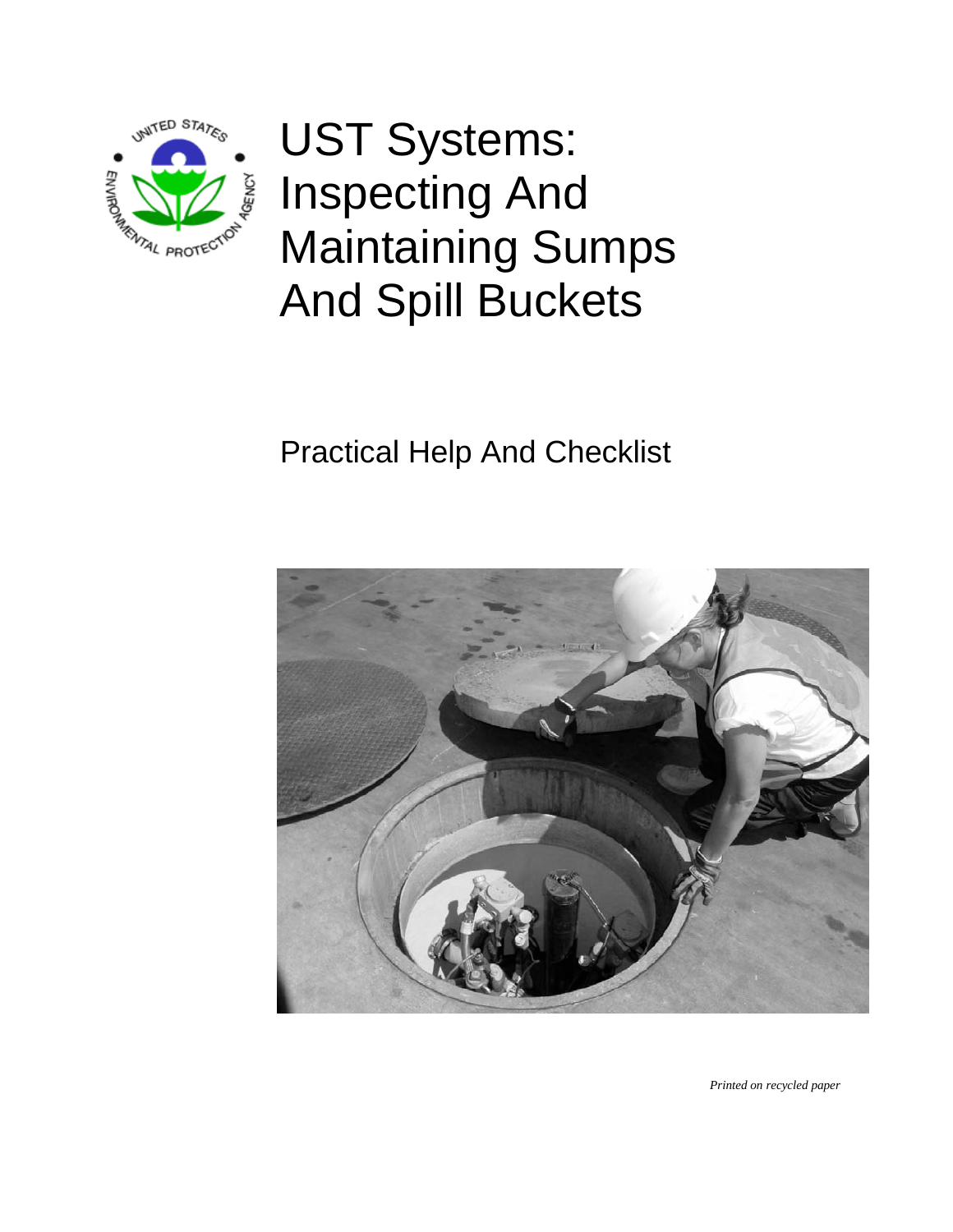

UST Systems: Inspecting And Maintaining Sumps And Spill Buckets

# Practical Help And Checklist



*Printed on recycled paper*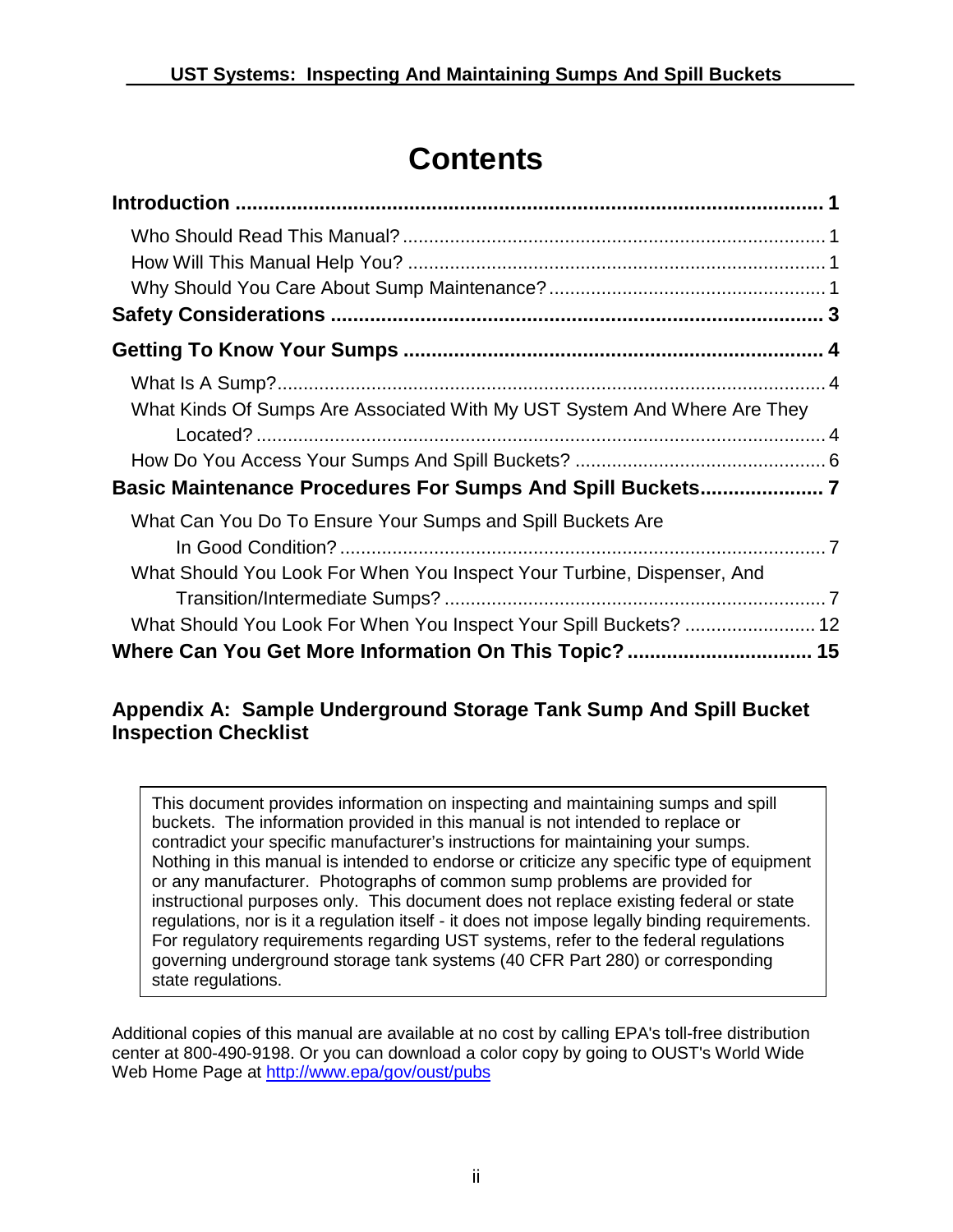# **Contents**

| What Kinds Of Sumps Are Associated With My UST System And Where Are They |  |
|--------------------------------------------------------------------------|--|
|                                                                          |  |
|                                                                          |  |
| Basic Maintenance Procedures For Sumps And Spill Buckets 7               |  |
| What Can You Do To Ensure Your Sumps and Spill Buckets Are               |  |
|                                                                          |  |
| What Should You Look For When You Inspect Your Turbine, Dispenser, And   |  |
|                                                                          |  |
| What Should You Look For When You Inspect Your Spill Buckets?  12        |  |
|                                                                          |  |

### **Appendix A: Sample Underground Storage Tank Sump And Spill Bucket Inspection Checklist**

This document provides information on inspecting and maintaining sumps and spill buckets. The information provided in this manual is not intended to replace or contradict your specific manufacturer's instructions for maintaining your sumps. Nothing in this manual is intended to endorse or criticize any specific type of equipment or any manufacturer. Photographs of common sump problems are provided for instructional purposes only. This document does not replace existing federal or state regulations, nor is it a regulation itself - it does not impose legally binding requirements. For regulatory requirements regarding UST systems, refer to the federal regulations governing underground storage tank systems (40 CFR Part 280) or corresponding state regulations.

Additional copies of this manual are available at no cost by calling EPA's toll-free distribution center at 800-490-9198. Or you can download a color copy by going to OUST's World Wide Web Home Page at<http://www.epa/gov/oust/pubs>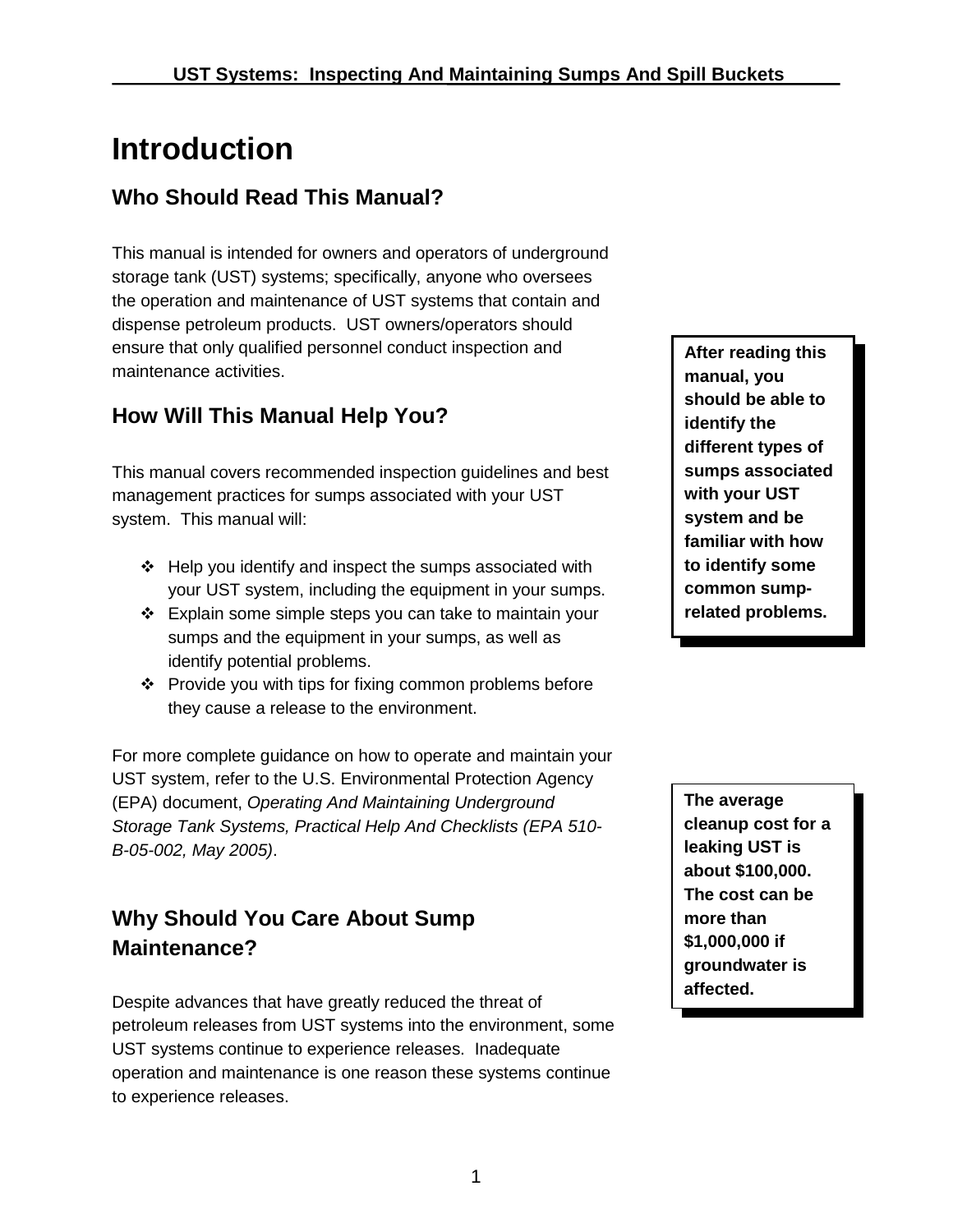# <span id="page-2-0"></span>**Introduction**

### <span id="page-2-1"></span>**Who Should Read This Manual?**

This manual is intended for owners and operators of underground storage tank (UST) systems; specifically, anyone who oversees the operation and maintenance of UST systems that contain and dispense petroleum products. UST owners/operators should ensure that only qualified personnel conduct inspection and maintenance activities.

### <span id="page-2-2"></span>**How Will This Manual Help You?**

This manual covers recommended inspection guidelines and best management practices for sumps associated with your UST system. This manual will:

- $\div$  Help you identify and inspect the sumps associated with your UST system, including the equipment in your sumps.
- Explain some simple steps you can take to maintain your sumps and the equipment in your sumps, as well as identify potential problems.
- ❖ Provide you with tips for fixing common problems before they cause a release to the environment.

For more complete guidance on how to operate and maintain your UST system, refer to the U.S. Environmental Protection Agency (EPA) document, *Operating And Maintaining Underground Storage Tank Systems, Practical Help And Checklists (EPA 510- B-05-002, May 2005)*.

### <span id="page-2-3"></span>**Why Should You Care About Sump Maintenance?**

Despite advances that have greatly reduced the threat of petroleum releases from UST systems into the environment, some UST systems continue to experience releases. Inadequate operation and maintenance is one reason these systems continue to experience releases.

**After reading this manual, you should be able to identify the different types of sumps associated with your UST system and be familiar with how to identify some common sumprelated problems.**

**The average cleanup cost for a leaking UST is about \$100,000. The cost can be more than \$1,000,000 if groundwater is affected.**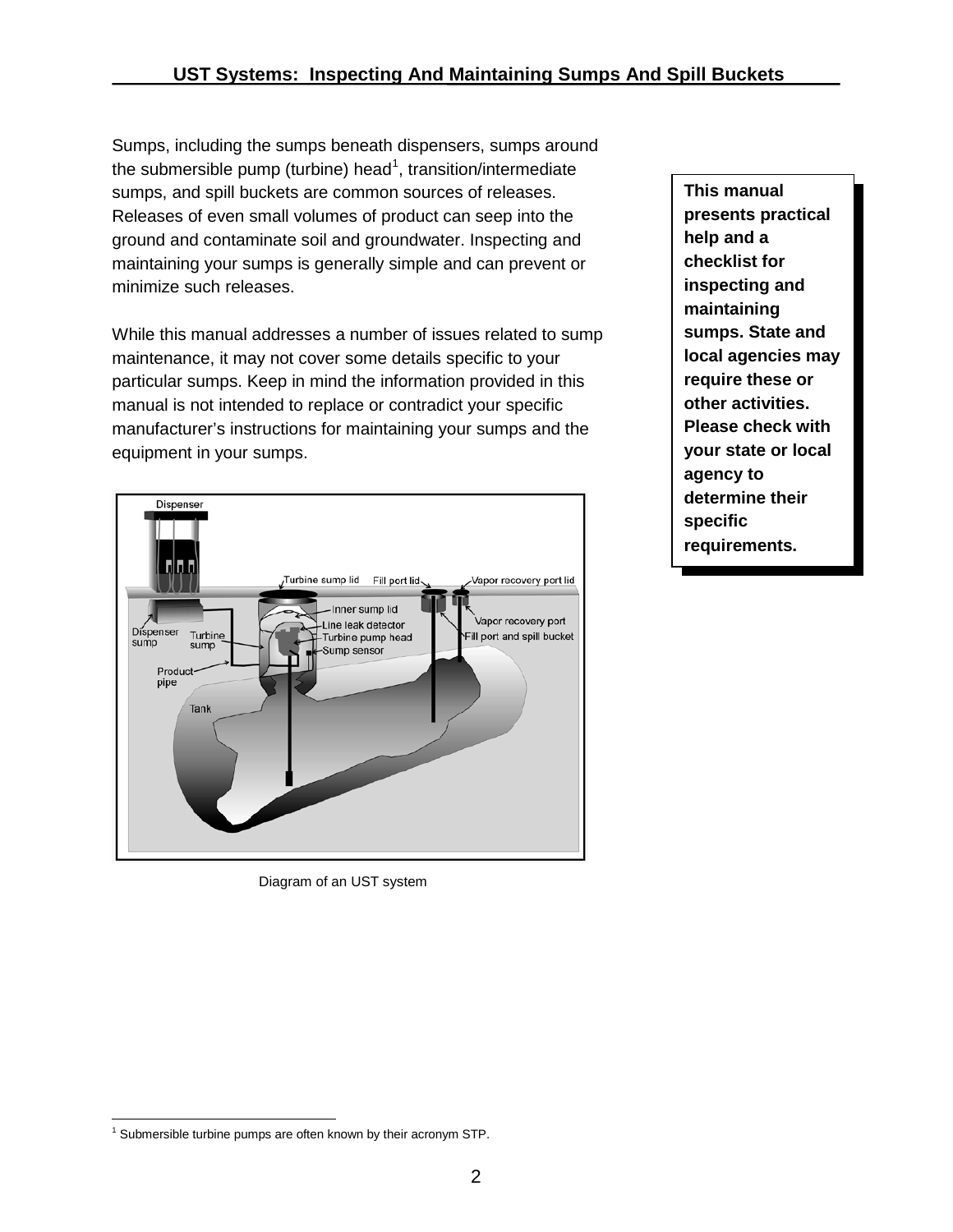Sumps, including the sumps beneath dispensers, sumps around the submersible pump (turbine) head<sup>[1](#page-3-0)</sup>, transition/intermediate sumps, and spill buckets are common sources of releases. Releases of even small volumes of product can seep into the ground and contaminate soil and groundwater. Inspecting and maintaining your sumps is generally simple and can prevent or minimize such releases.

While this manual addresses a number of issues related to sump maintenance, it may not cover some details specific to your particular sumps. Keep in mind the information provided in this manual is not intended to replace or contradict your specific manufacturer's instructions for maintaining your sumps and the equipment in your sumps.



Diagram of an UST system

**This manual presents practical help and a checklist for inspecting and maintaining sumps. State and local agencies may require these or other activities. Please check with your state or local agency to determine their specific requirements.**

<span id="page-3-0"></span> $\overline{1}$  $1$  Submersible turbine pumps are often known by their acronym STP.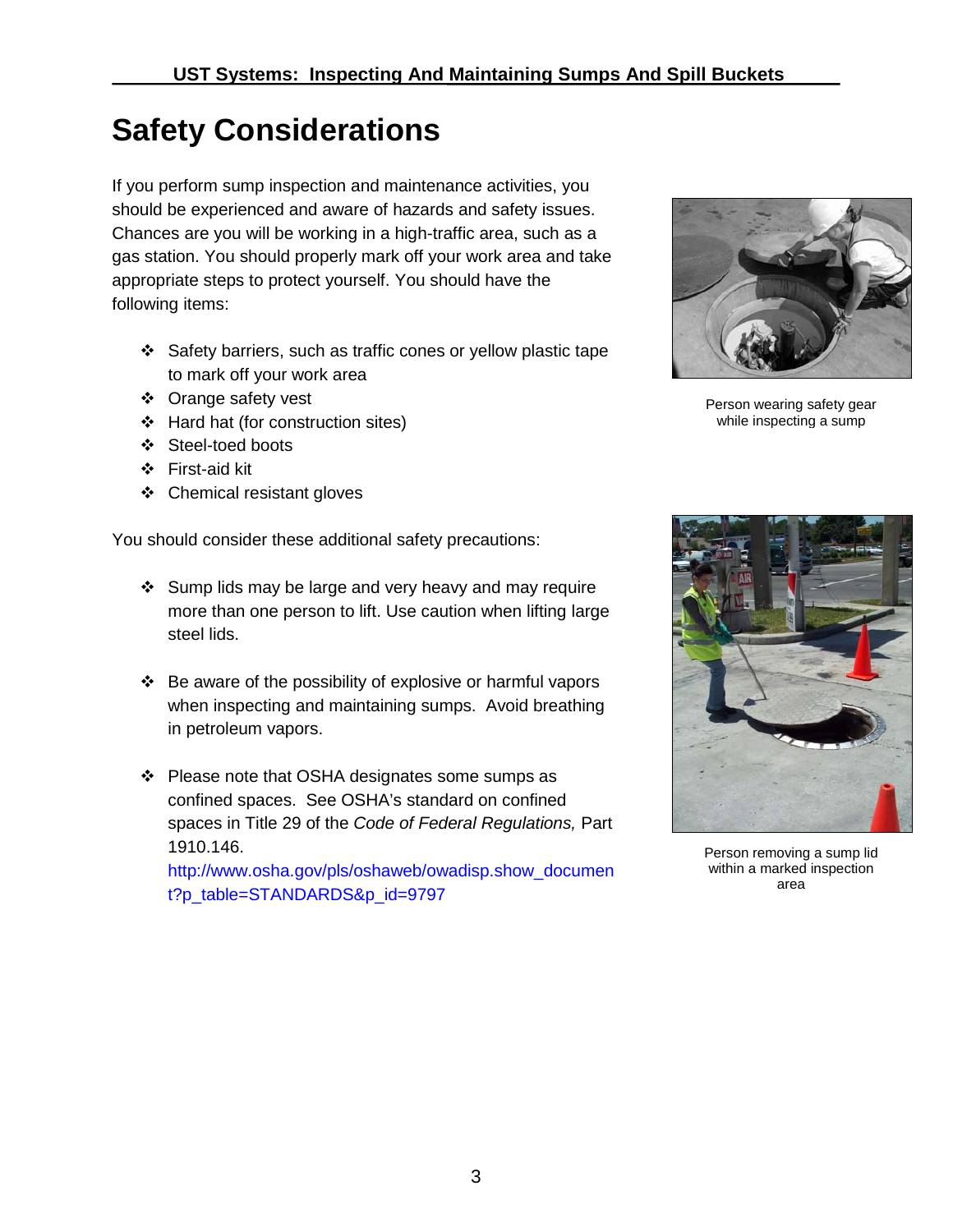# <span id="page-4-0"></span>**Safety Considerations**

If you perform sump inspection and maintenance activities, you should be experienced and aware of hazards and safety issues. Chances are you will be working in a high-traffic area, such as a gas station. You should properly mark off your work area and take appropriate steps to protect yourself. You should have the following items:

- Safety barriers, such as traffic cones or yellow plastic tape to mark off your work area
- ❖ Orange safety vest
- Hard hat (for construction sites)
- Steel-toed boots
- First-aid kit
- Chemical resistant gloves

You should consider these additional safety precautions:

- Sump lids may be large and very heavy and may require more than one person to lift. Use caution when lifting large steel lids.
- $\div$  Be aware of the possibility of explosive or harmful vapors when inspecting and maintaining sumps. Avoid breathing in petroleum vapors.
- Please note that OSHA designates some sumps as confined spaces. See OSHA's standard on confined spaces in Title 29 of the *Code of Federal Regulations,* Part 1910.146.

[http://www.osha.gov/pls/oshaweb/owadisp.show\\_documen](http://www.osha.gov/pls/oshaweb/owadisp.show_document?p_table=STANDARDS&p_id=9797) [t?p\\_table=STANDARDS&p\\_id=9797](http://www.osha.gov/pls/oshaweb/owadisp.show_document?p_table=STANDARDS&p_id=9797)



Person wearing safety gear while inspecting a sump



Person removing a sump lid within a marked inspection area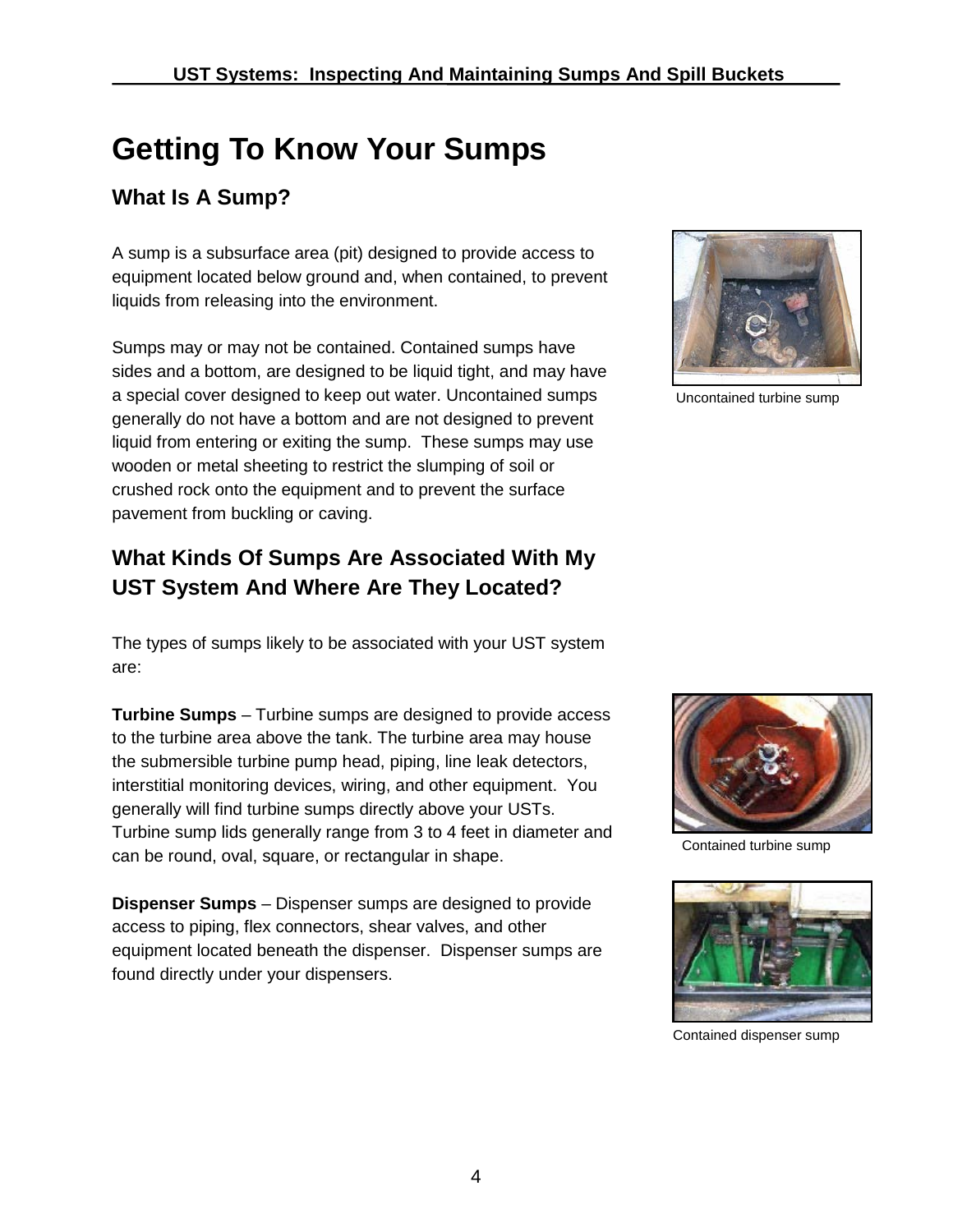# <span id="page-5-0"></span>**Getting To Know Your Sumps**

### <span id="page-5-1"></span>**What Is A Sump?**

A sump is a subsurface area (pit) designed to provide access to equipment located below ground and, when contained, to prevent liquids from releasing into the environment.

Sumps may or may not be contained. Contained sumps have sides and a bottom, are designed to be liquid tight, and may have a special cover designed to keep out water. Uncontained sumps generally do not have a bottom and are not designed to prevent liquid from entering or exiting the sump. These sumps may use wooden or metal sheeting to restrict the slumping of soil or crushed rock onto the equipment and to prevent the surface pavement from buckling or caving.

### <span id="page-5-2"></span>**What Kinds Of Sumps Are Associated With My UST System And Where Are They Located?**

The types of sumps likely to be associated with your UST system are:

**Turbine Sumps** – Turbine sumps are designed to provide access to the turbine area above the tank. The turbine area may house the submersible turbine pump head, piping, line leak detectors, interstitial monitoring devices, wiring, and other equipment. You generally will find turbine sumps directly above your USTs. Turbine sump lids generally range from 3 to 4 feet in diameter and can be round, oval, square, or rectangular in shape.

**Dispenser Sumps** – Dispenser sumps are designed to provide access to piping, flex connectors, shear valves, and other equipment located beneath the dispenser. Dispenser sumps are found directly under your dispensers.



Uncontained turbine sump



Contained turbine sump



Contained dispenser sump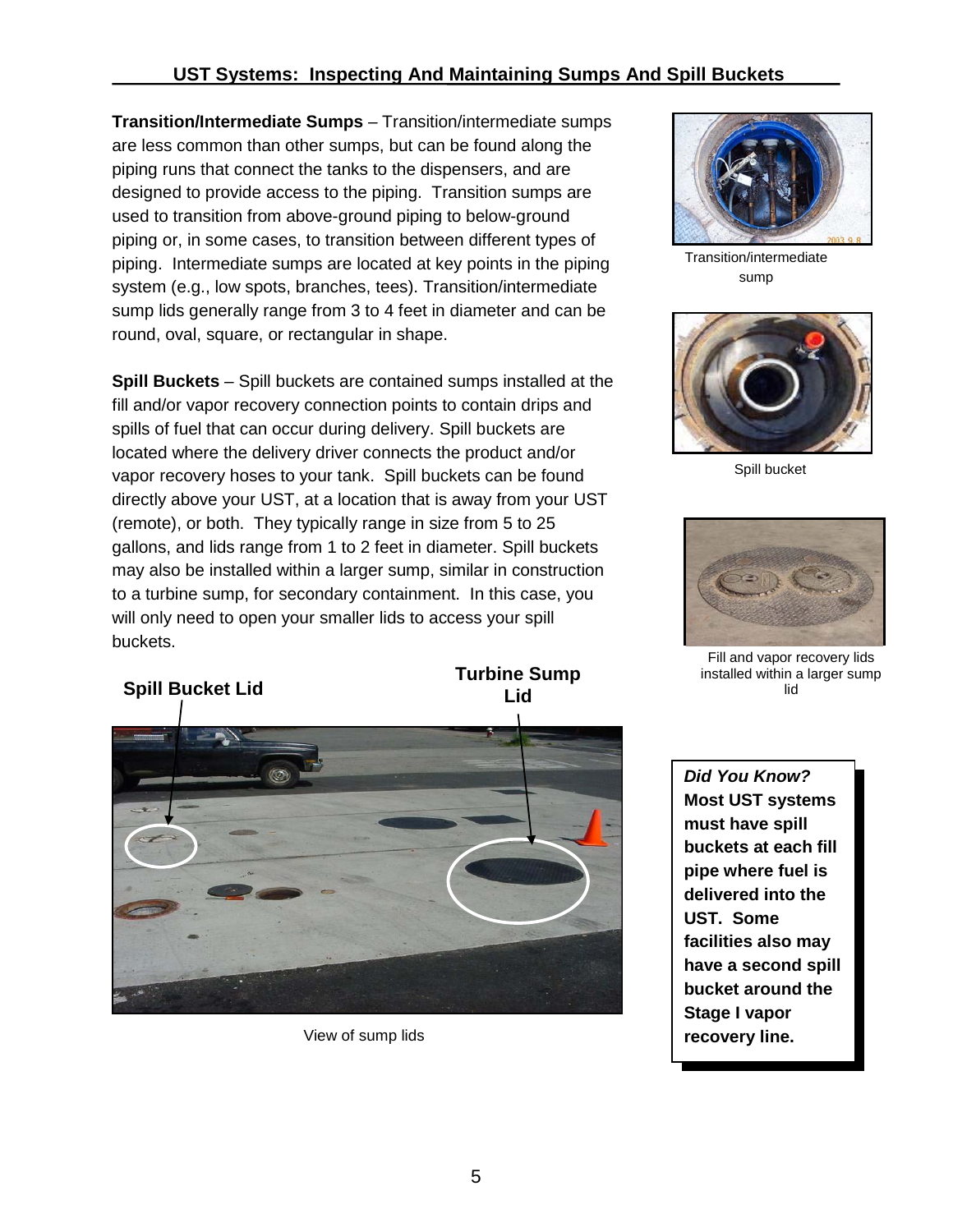**Transition/Intermediate Sumps** – Transition/intermediate sumps are less common than other sumps, but can be found along the piping runs that connect the tanks to the dispensers, and are designed to provide access to the piping. Transition sumps are used to transition from above-ground piping to below-ground piping or, in some cases, to transition between different types of piping. Intermediate sumps are located at key points in the piping system (e.g., low spots, branches, tees). Transition/intermediate sump lids generally range from 3 to 4 feet in diameter and can be round, oval, square, or rectangular in shape.

**Spill Buckets** – Spill buckets are contained sumps installed at the fill and/or vapor recovery connection points to contain drips and spills of fuel that can occur during delivery. Spill buckets are located where the delivery driver connects the product and/or vapor recovery hoses to your tank. Spill buckets can be found directly above your UST, at a location that is away from your UST (remote), or both. They typically range in size from 5 to 25 gallons, and lids range from 1 to 2 feet in diameter. Spill buckets may also be installed within a larger sump, similar in construction to a turbine sump, for secondary containment. In this case, you will only need to open your smaller lids to access your spill buckets.

**Spill Bucket Lid Turbine Sump Lid**



View of sump lids



Transition/intermediate sump



Spill bucket



Fill and vapor recovery lids installed within a larger sump lid

*Did You Know?* **Most UST systems must have spill buckets at each fill pipe where fuel is delivered into the UST. Some facilities also may have a second spill bucket around the Stage I vapor recovery line.**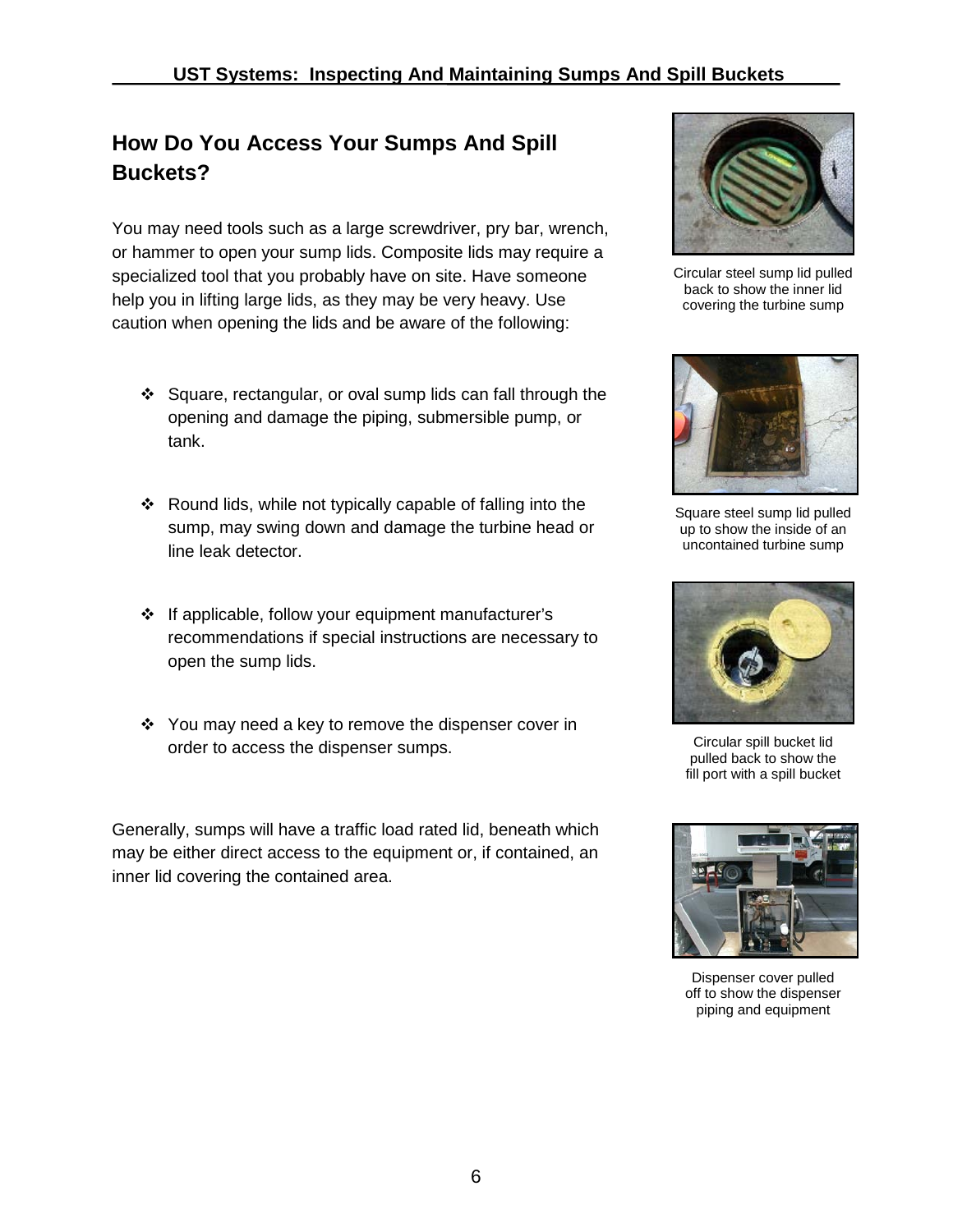## <span id="page-7-0"></span>**How Do You Access Your Sumps And Spill Buckets?**

You may need tools such as a large screwdriver, pry bar, wrench, or hammer to open your sump lids. Composite lids may require a specialized tool that you probably have on site. Have someone help you in lifting large lids, as they may be very heavy. Use caution when opening the lids and be aware of the following:

- $\div$  Square, rectangular, or oval sump lids can fall through the opening and damage the piping, submersible pump, or tank.
- Round lids, while not typically capable of falling into the sump, may swing down and damage the turbine head or line leak detector.
- If applicable, follow your equipment manufacturer's recommendations if special instructions are necessary to open the sump lids.
- $\div$  You may need a key to remove the dispenser cover in order to access the dispenser sumps.

Generally, sumps will have a traffic load rated lid, beneath which may be either direct access to the equipment or, if contained, an inner lid covering the contained area.



Circular steel sump lid pulled back to show the inner lid covering the turbine sump



Square steel sump lid pulled up to show the inside of an uncontained turbine sump



Circular spill bucket lid pulled back to show the fill port with a spill bucket



Dispenser cover pulled off to show the dispenser piping and equipment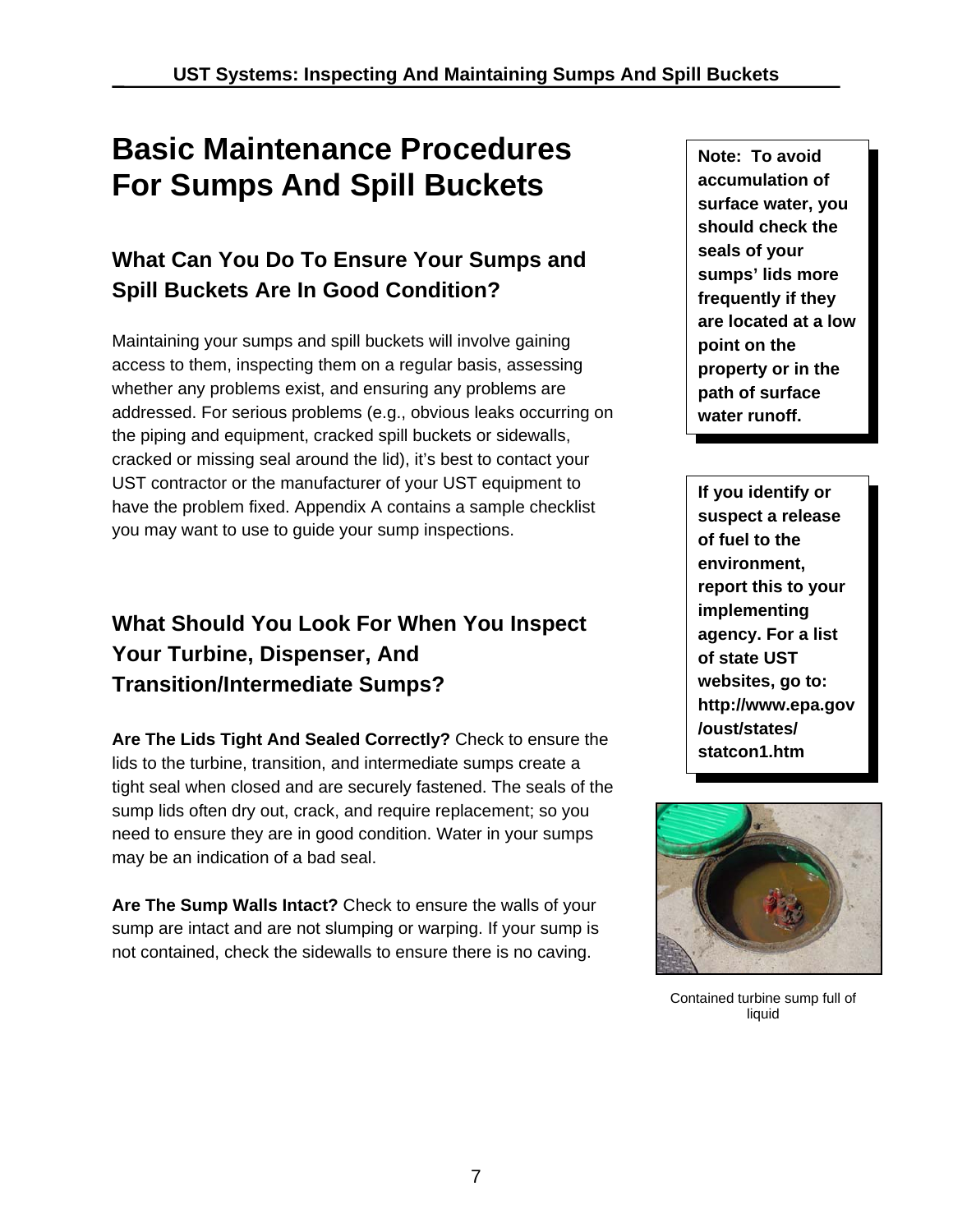# **Basic Maintenance Procedures For Sumps And Spill Buckets**

# **What Can You Do To Ensure Your Sumps and Spill Buckets Are In Good Condition?**

Maintaining your sumps and spill buckets will involve gaining access to them, inspecting them on a regular basis, assessing whether any problems exist, and ensuring any problems are addressed. For serious problems (e.g., obvious leaks occurring on the piping and equipment, cracked spill buckets or sidewalls, cracked or missing seal around the lid), it's best to contact your UST contractor or the manufacturer of your UST equipment to have the problem fixed. Appendix A contains a sample checklist you may want to use to guide your sump inspections.

# **What Should You Look For When You Inspect Your Turbine, Dispenser, And Transition/Intermediate Sumps?**

**Are The Lids Tight And Sealed Correctly?** Check to ensure the lids to the turbine, transition, and intermediate sumps create a tight seal when closed and are securely fastened. The seals of the sump lids often dry out, crack, and require replacement; so you need to ensure they are in good condition. Water in your sumps may be an indication of a bad seal.

**Are The Sump Walls Intact?** Check to ensure the walls of your sump are intact and are not slumping or warping. If your sump is not contained, check the sidewalls to ensure there is no caving.

**Note: To avoid accumulation of surface water, you should check the seals of your sumps' lids more frequently if they are located at a low point on the property or in the path of surface water runoff.** 

**If you identify or suspect a release of fuel to the environment, report this to your implementing agency. For a list of state UST websites, go to: http://www.epa.gov /oust/states/ statcon1.htm** 



Contained turbine sump full of liquid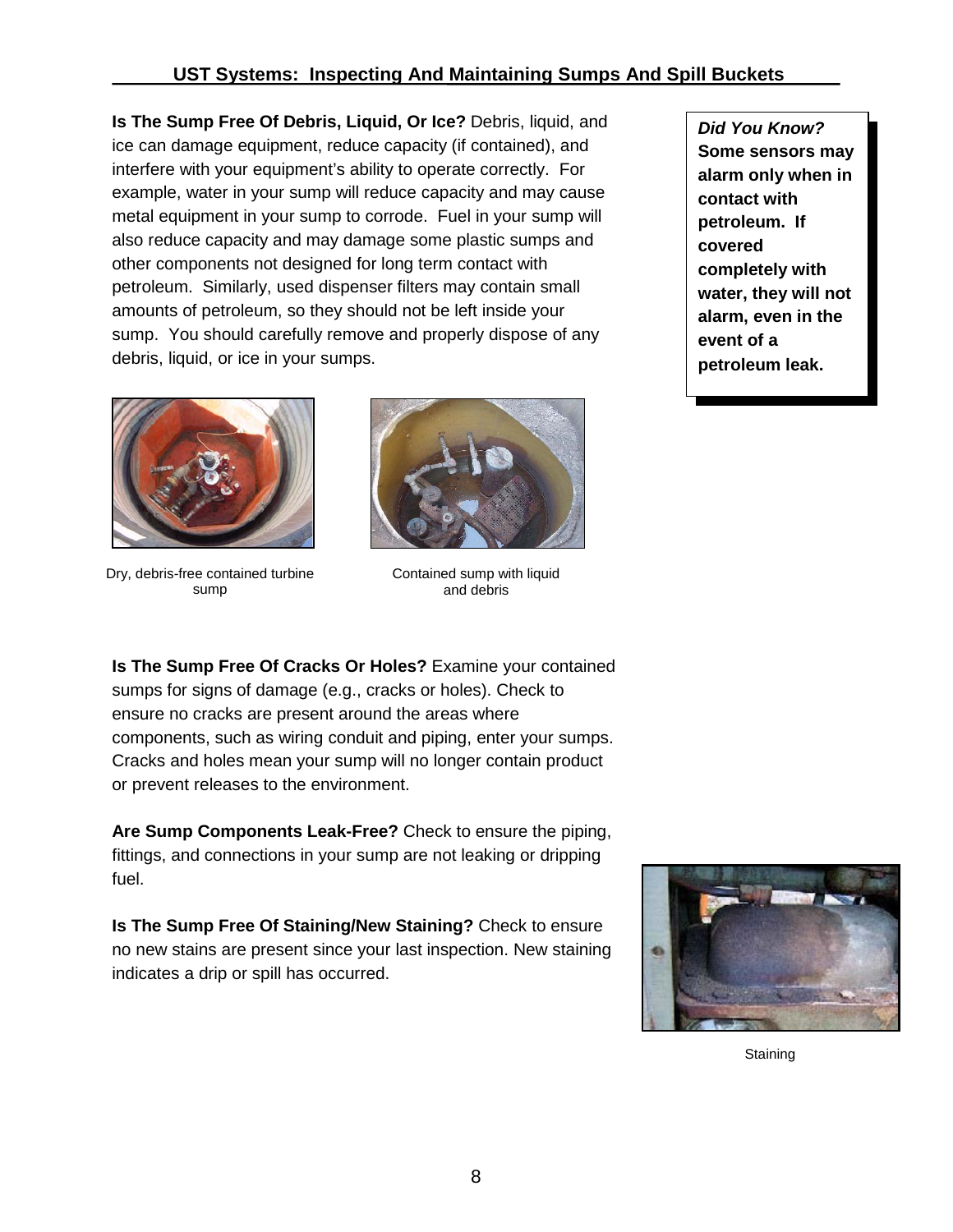**Is The Sump Free Of Debris, Liquid, Or Ice?** Debris, liquid, and ice can damage equipment, reduce capacity (if contained), and interfere with your equipment's ability to operate correctly. For example, water in your sump will reduce capacity and may cause metal equipment in your sump to corrode. Fuel in your sump will also reduce capacity and may damage some plastic sumps and other components not designed for long term contact with petroleum. Similarly, used dispenser filters may contain small amounts of petroleum, so they should not be left inside your sump. You should carefully remove and properly dispose of any debris, liquid, or ice in your sumps.



Dry, debris-free contained turbine sump



Contained sump with liquid and debris

**Is The Sump Free Of Cracks Or Holes?** Examine your contained sumps for signs of damage (e.g., cracks or holes). Check to ensure no cracks are present around the areas where components, such as wiring conduit and piping, enter your sumps. Cracks and holes mean your sump will no longer contain product or prevent releases to the environment.

**Are Sump Components Leak-Free?** Check to ensure the piping, fittings, and connections in your sump are not leaking or dripping fuel.

**Is The Sump Free Of Staining/New Staining?** Check to ensure no new stains are present since your last inspection. New staining indicates a drip or spill has occurred.



**Staining** 

*Did You Know?* **Some sensors may alarm only when in contact with petroleum. If covered completely with water, they will not alarm, even in the event of a petroleum leak.**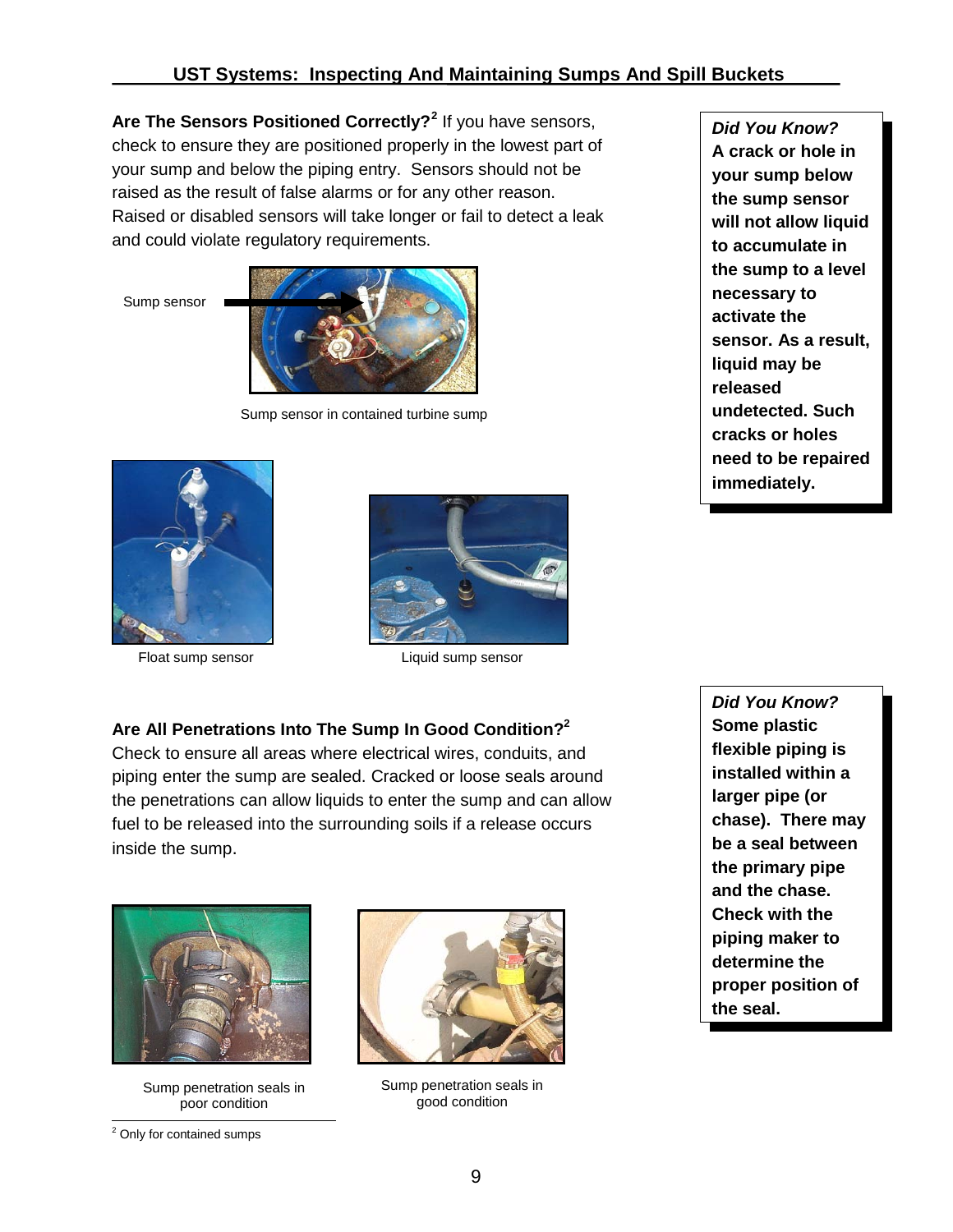**Are The Sensors Positioned Correctly?[2](#page-10-0)** If you have sensors, check to ensure they are positioned properly in the lowest part of your sump and below the piping entry. Sensors should not be raised as the result of false alarms or for any other reason. Raised or disabled sensors will take longer or fail to detect a leak and could violate regulatory requirements.

Sump sensor



Sump sensor in contained turbine sump





Float sump sensor **Example 3** Liquid sump sensor

#### **Are All Penetrations Into The Sump In Good Condition?2**

Check to ensure all areas where electrical wires, conduits, and piping enter the sump are sealed. Cracked or loose seals around the penetrations can allow liquids to enter the sump and can allow fuel to be released into the surrounding soils if a release occurs inside the sump.



Sump penetration seals in poor condition



Sump penetration seals in good condition

*Did You Know?* **Some plastic flexible piping is installed within a larger pipe (or chase). There may be a seal between the primary pipe and the chase. Check with the piping maker to determine the proper position of the seal.**

*Did You Know?* **A crack or hole in your sump below the sump sensor will not allow liquid to accumulate in the sump to a level necessary to activate the sensor. As a result, liquid may be released undetected. Such cracks or holes need to be repaired** 

**immediately.**

<span id="page-10-0"></span> $\overline{\phantom{0}}$ <sup>2</sup> Only for contained sumps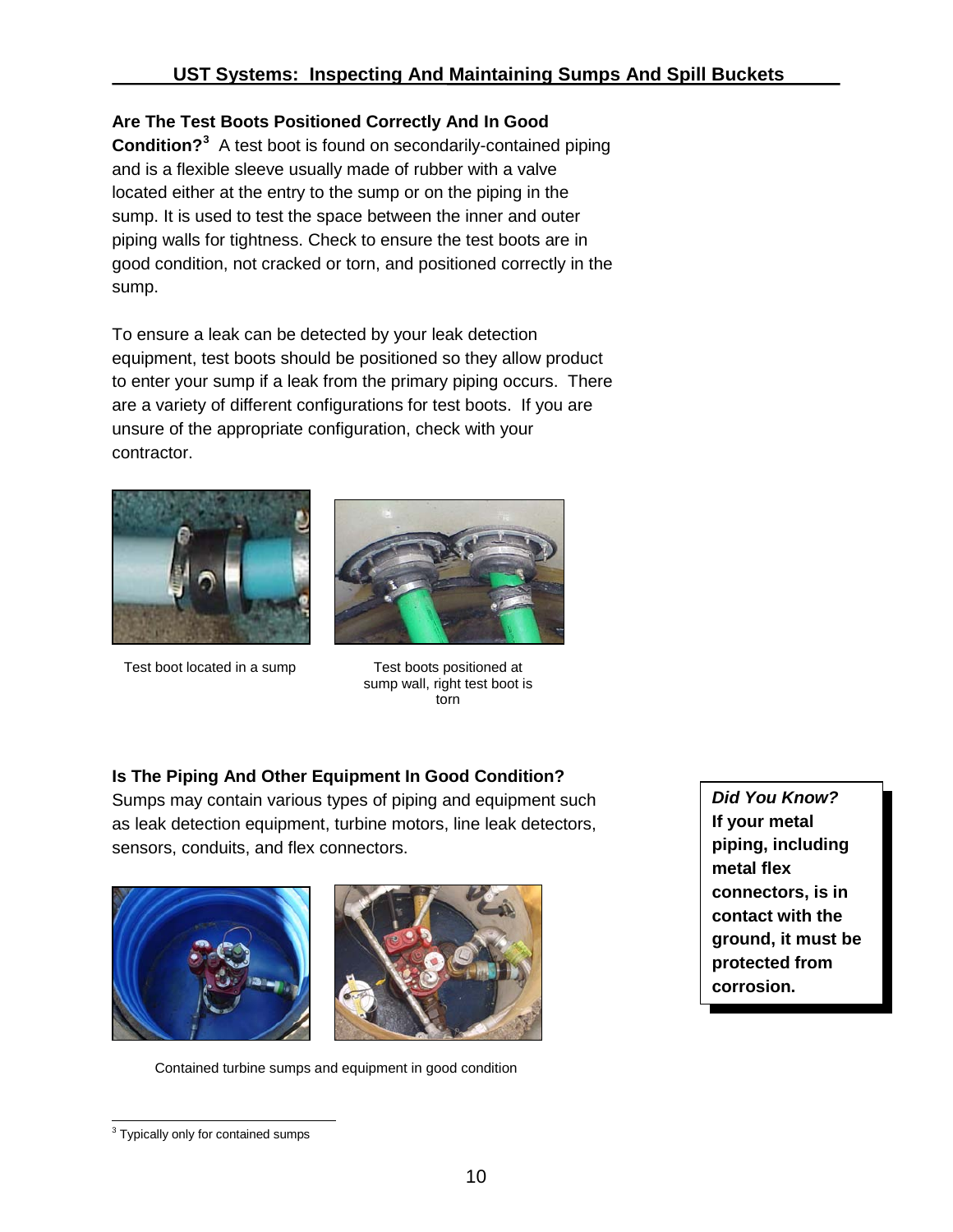#### **Are The Test Boots Positioned Correctly And In Good**

**Condition?[3](#page-11-0)** A test boot is found on secondarily-contained piping and is a flexible sleeve usually made of rubber with a valve located either at the entry to the sump or on the piping in the sump. It is used to test the space between the inner and outer piping walls for tightness. Check to ensure the test boots are in good condition, not cracked or torn, and positioned correctly in the sump.

To ensure a leak can be detected by your leak detection equipment, test boots should be positioned so they allow product to enter your sump if a leak from the primary piping occurs. There are a variety of different configurations for test boots. If you are unsure of the appropriate configuration, check with your contractor.



Test boot located in a sump Test boots positioned at



sump wall, right test boot is torn

### **Is The Piping And Other Equipment In Good Condition?**

Sumps may contain various types of piping and equipment such as leak detection equipment, turbine motors, line leak detectors, sensors, conduits, and flex connectors.



Contained turbine sumps and equipment in good condition

*Did You Know?* **If your metal piping, including metal flex connectors, is in contact with the ground, it must be protected from corrosion.**

<span id="page-11-0"></span><sup>&</sup>lt;sup>3</sup> Typically only for contained sumps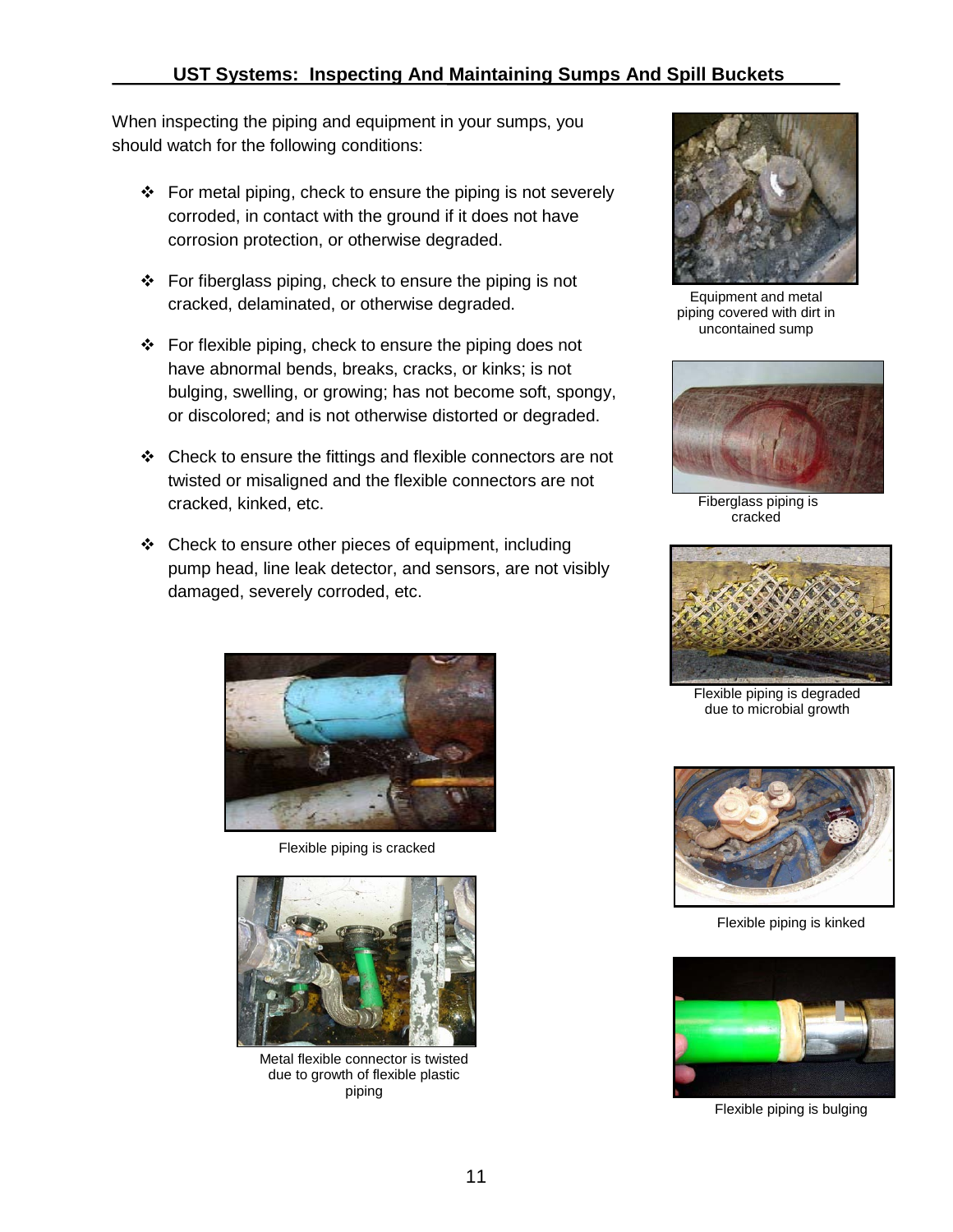When inspecting the piping and equipment in your sumps, you should watch for the following conditions:

- $\div$  For metal piping, check to ensure the piping is not severely corroded, in contact with the ground if it does not have corrosion protection, or otherwise degraded.
- $\div$  For fiberglass piping, check to ensure the piping is not cracked, delaminated, or otherwise degraded.
- $\div$  For flexible piping, check to ensure the piping does not have abnormal bends, breaks, cracks, or kinks; is not bulging, swelling, or growing; has not become soft, spongy, or discolored; and is not otherwise distorted or degraded.
- $\div$  Check to ensure the fittings and flexible connectors are not twisted or misaligned and the flexible connectors are not cracked, kinked, etc.
- $\div$  Check to ensure other pieces of equipment, including pump head, line leak detector, and sensors, are not visibly damaged, severely corroded, etc.



Flexible piping is cracked



Metal flexible connector is twisted due to growth of flexible plastic piping



Equipment and metal piping covered with dirt in uncontained sump



Fiberglass piping is cracked



Flexible piping is degraded due to microbial growth



Flexible piping is kinked



Flexible piping is bulging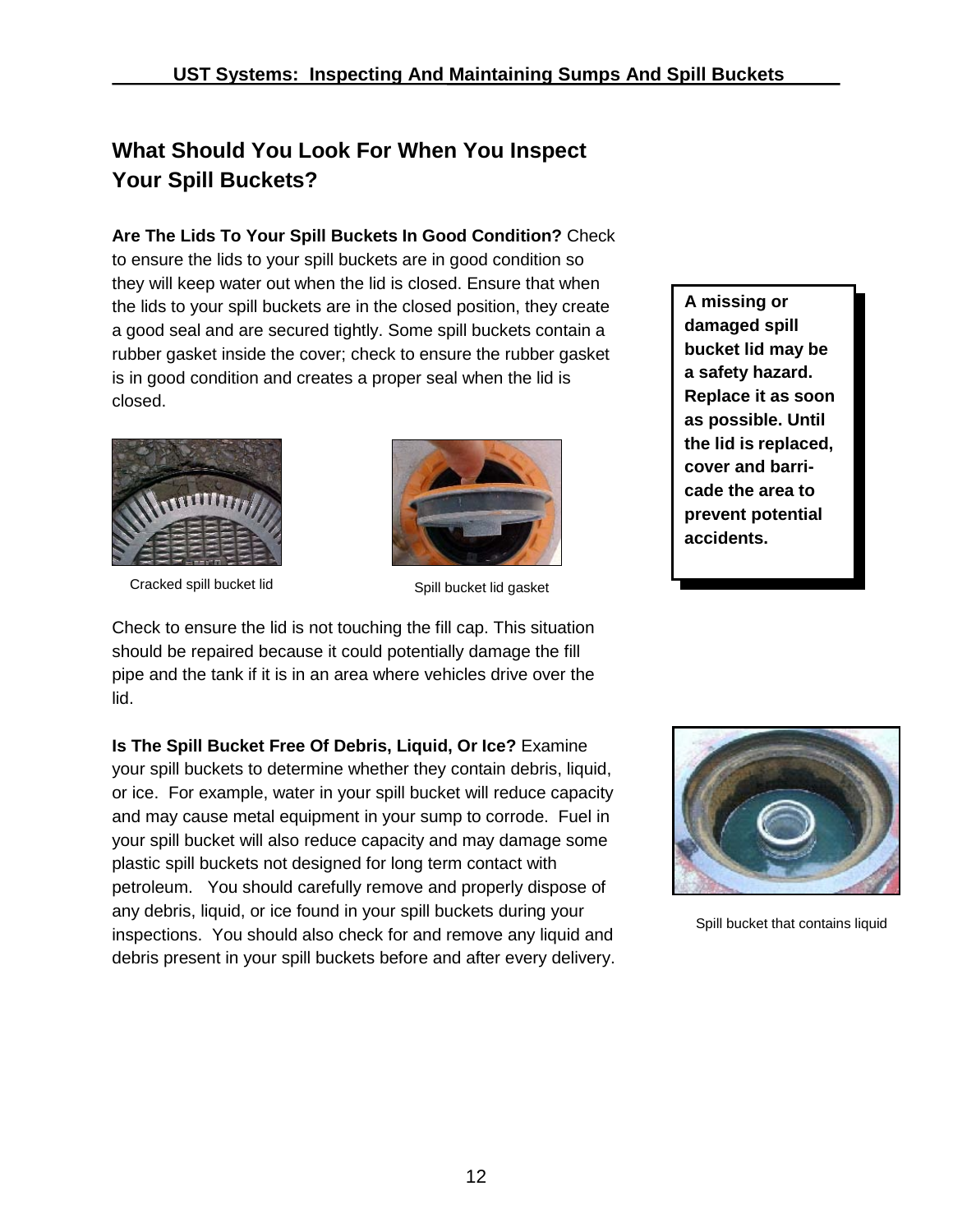## **What Should You Look For When You Inspect Your Spill Buckets?**

**Are The Lids To Your Spill Buckets In Good Condition?** Check to ensure the lids to your spill buckets are in good condition so they will keep water out when the lid is closed. Ensure that when the lids to your spill buckets are in the closed position, they create a good seal and are secured tightly. Some spill buckets contain a rubber gasket inside the cover; check to ensure the rubber gasket is in good condition and creates a proper seal when the lid is closed.



Cracked spill bucket lid



Spill bucket lid gasket

Check to ensure the lid is not touching the fill cap. This situation should be repaired because it could potentially damage the fill pipe and the tank if it is in an area where vehicles drive over the lid.

**Is The Spill Bucket Free Of Debris, Liquid, Or Ice?** Examine your spill buckets to determine whether they contain debris, liquid, or ice. For example, water in your spill bucket will reduce capacity and may cause metal equipment in your sump to corrode. Fuel in your spill bucket will also reduce capacity and may damage some plastic spill buckets not designed for long term contact with petroleum. You should carefully remove and properly dispose of any debris, liquid, or ice found in your spill buckets during your inspections. You should also check for and remove any liquid and debris present in your spill buckets before and after every delivery.

**A missing or damaged spill bucket lid may be a safety hazard. Replace it as soon as possible. Until the lid is replaced, cover and barricade the area to prevent potential accidents.**



Spill bucket that contains liquid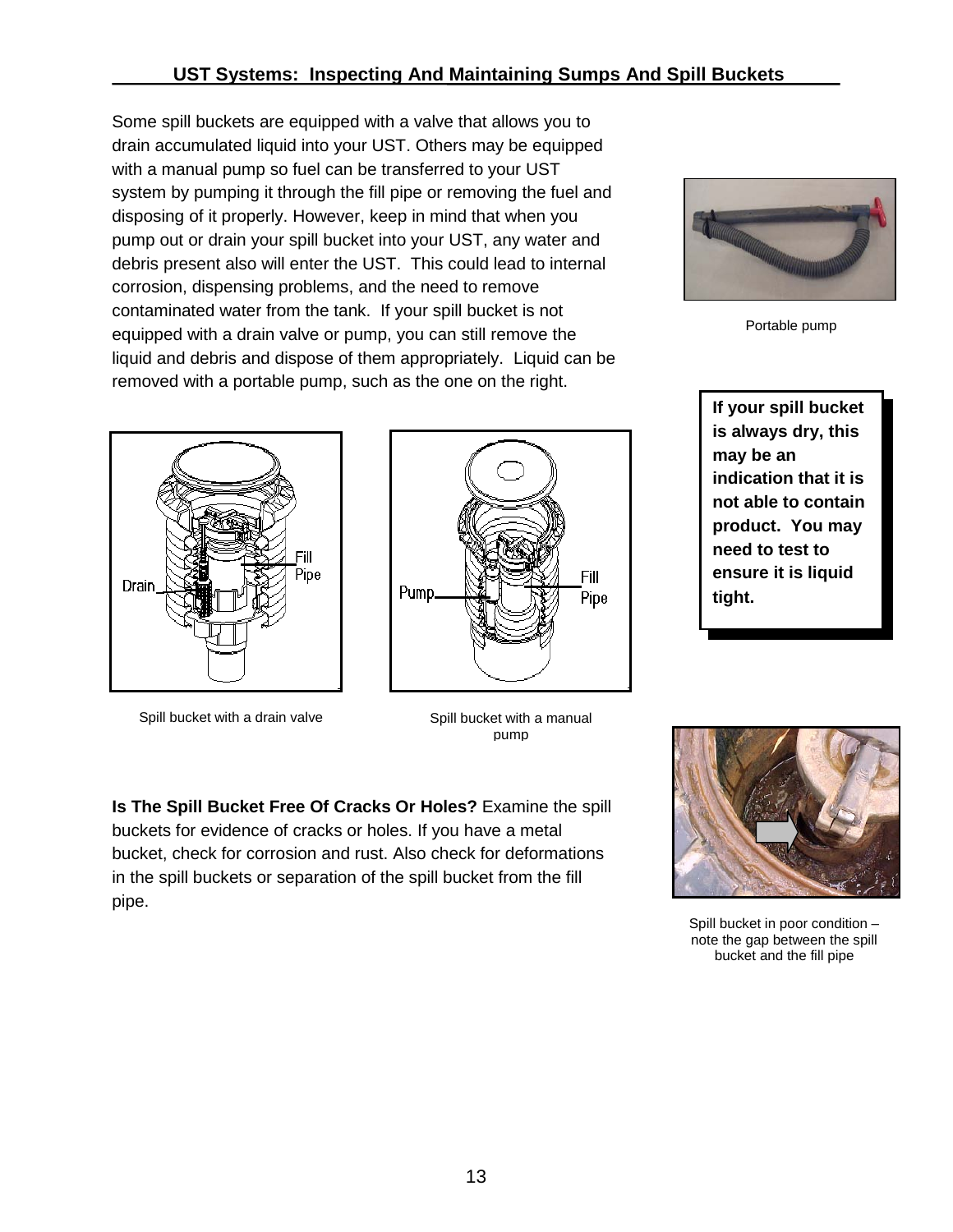Some spill buckets are equipped with a valve that allows you to drain accumulated liquid into your UST. Others may be equipped with a manual pump so fuel can be transferred to your UST system by pumping it through the fill pipe or removing the fuel and disposing of it properly. However, keep in mind that when you pump out or drain your spill bucket into your UST, any water and debris present also will enter the UST. This could lead to internal corrosion, dispensing problems, and the need to remove contaminated water from the tank. If your spill bucket is not equipped with a drain valve or pump, you can still remove the liquid and debris and dispose of them appropriately. Liquid can be removed with a portable pump, such as the one on the right.



Spill bucket with a drain valve



Spill bucket with a manual pump

**Is The Spill Bucket Free Of Cracks Or Holes?** Examine the spill buckets for evidence of cracks or holes. If you have a metal bucket, check for corrosion and rust. Also check for deformations in the spill buckets or separation of the spill bucket from the fill pipe.



Portable pump

**If your spill bucket is always dry, this may be an indication that it is not able to contain product. You may need to test to ensure it is liquid tight.**



Spill bucket in poor condition – note the gap between the spill bucket and the fill pipe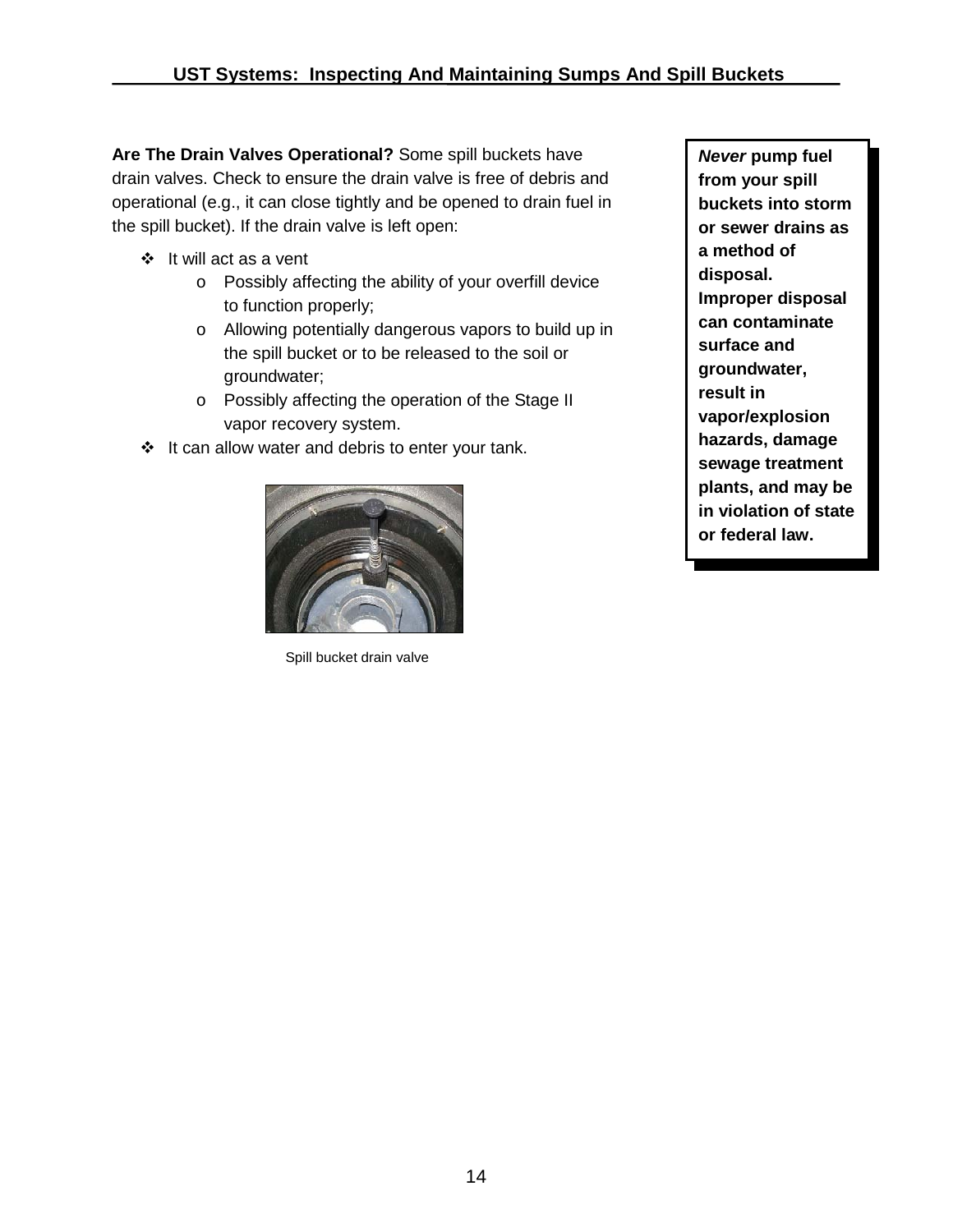**Are The Drain Valves Operational?** Some spill buckets have drain valves. Check to ensure the drain valve is free of debris and operational (e.g., it can close tightly and be opened to drain fuel in the spill bucket). If the drain valve is left open:

- $\div$  It will act as a vent
	- o Possibly affecting the ability of your overfill device to function properly;
	- o Allowing potentially dangerous vapors to build up in the spill bucket or to be released to the soil or groundwater;
	- o Possibly affecting the operation of the Stage II vapor recovery system.
- $\div$  It can allow water and debris to enter your tank.



Spill bucket drain valve

*Never* **pump fuel from your spill buckets into storm or sewer drains as a method of disposal. Improper disposal can contaminate surface and groundwater, result in vapor/explosion hazards, damage sewage treatment plants, and may be in violation of state or federal law.**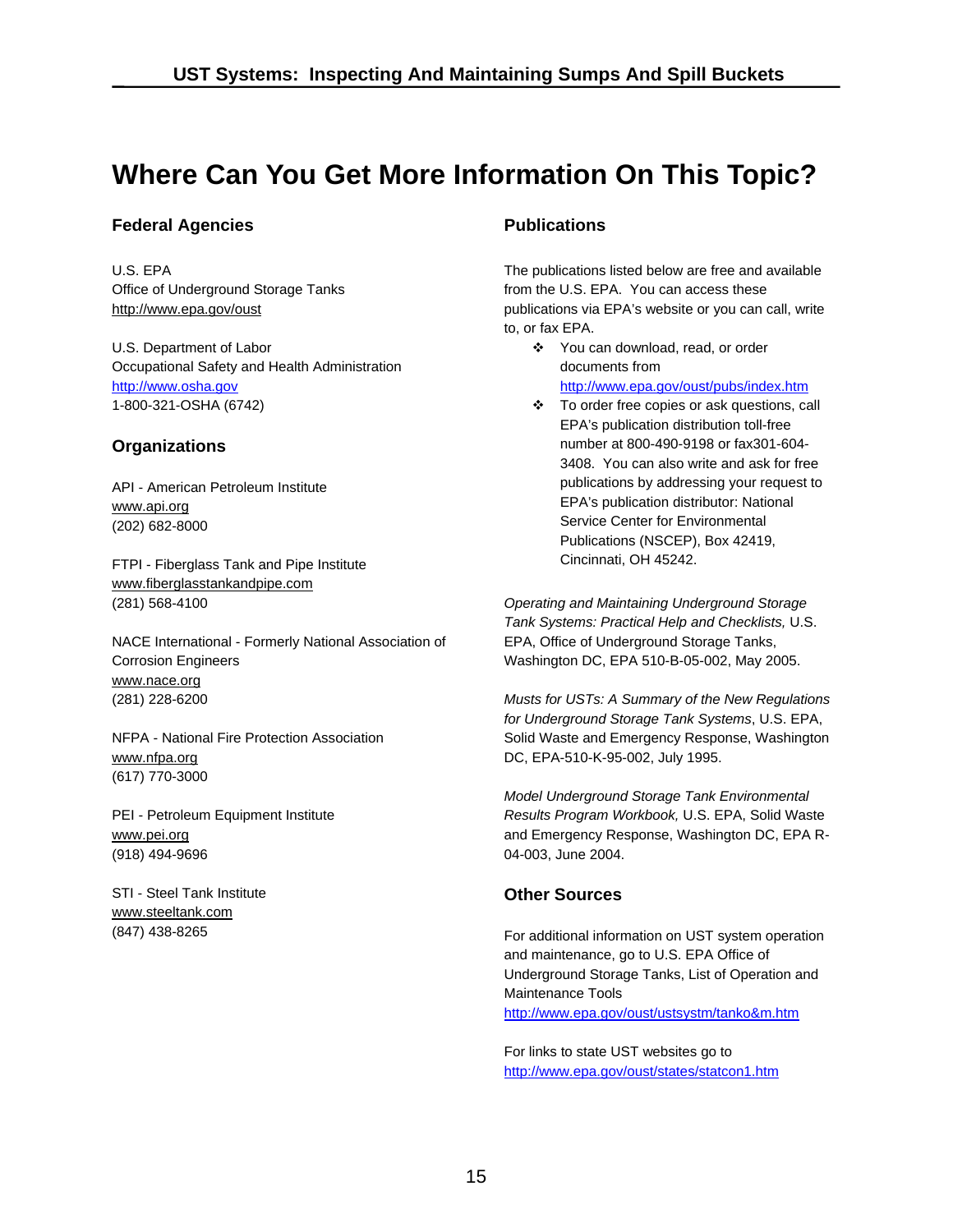# **Where Can You Get More Information On This Topic?**

#### **Federal Agencies**

U.S. EPA Office of Underground Storage Tanks http://www.epa.gov/oust

U.S. Department of Labor Occupational Safety and Health Administration http://www.osha.gov 1-800-321-OSHA (6742)

#### **Organizations**

API - American Petroleum Institute www.api.org (202) 682-8000

FTPI - Fiberglass Tank and Pipe Institute www.fiberglasstankandpipe.com (281) 568-4100

NACE International - Formerly National Association of Corrosion Engineers www.nace.org (281) 228-6200

NFPA - National Fire Protection Association www.nfpa.org (617) 770-3000

PEI - Petroleum Equipment Institute www.pei.org (918) 494-9696

STI - Steel Tank Institute www.steeltank.com (847) 438-8265

#### **Publications**

The publications listed below are free and available from the U.S. EPA. You can access these publications via EPA's website or you can call, write to, or fax EPA.

- You can download, read, or order documents from http://www.epa.gov/oust/pubs/index.htm
- To order free copies or ask questions, call EPA's publication distribution toll-free number at 800-490-9198 or fax301-604- 3408. You can also write and ask for free publications by addressing your request to EPA's publication distributor: National Service Center for Environmental Publications (NSCEP), Box 42419, Cincinnati, OH 45242.

 Washington DC, EPA 510-B-05-002, May 2005. *Operating and Maintaining Underground Storage Tank Systems: Practical Help and Checklists,* U.S. EPA, Office of Underground Storage Tanks,

*Musts for USTs: A Summary of the New Regulations for Underground Storage Tank Systems*, U.S. EPA, Solid Waste and Emergency Response, Washington DC, EPA-510-K-95-002, July 1995.

*Model Underground Storage Tank Environmental Results Program Workbook,* U.S. EPA, Solid Waste and Emergency Response, Washington DC, EPA R-04-003, June 2004.

#### **Other Sources**

For additional information on UST system operation and maintenance, go to U.S. EPA Office of Underground Storage Tanks, List of Operation and Maintenance Tools

<u>http://www.epa.gov/oust/ustsystm/tanko&m.htm</u><br>For links to state UST websites go to http://www.epa.gov/oust/states/statcon1.htm http://www.epa.gov/oust/states/statcon1.htm<br>15<br>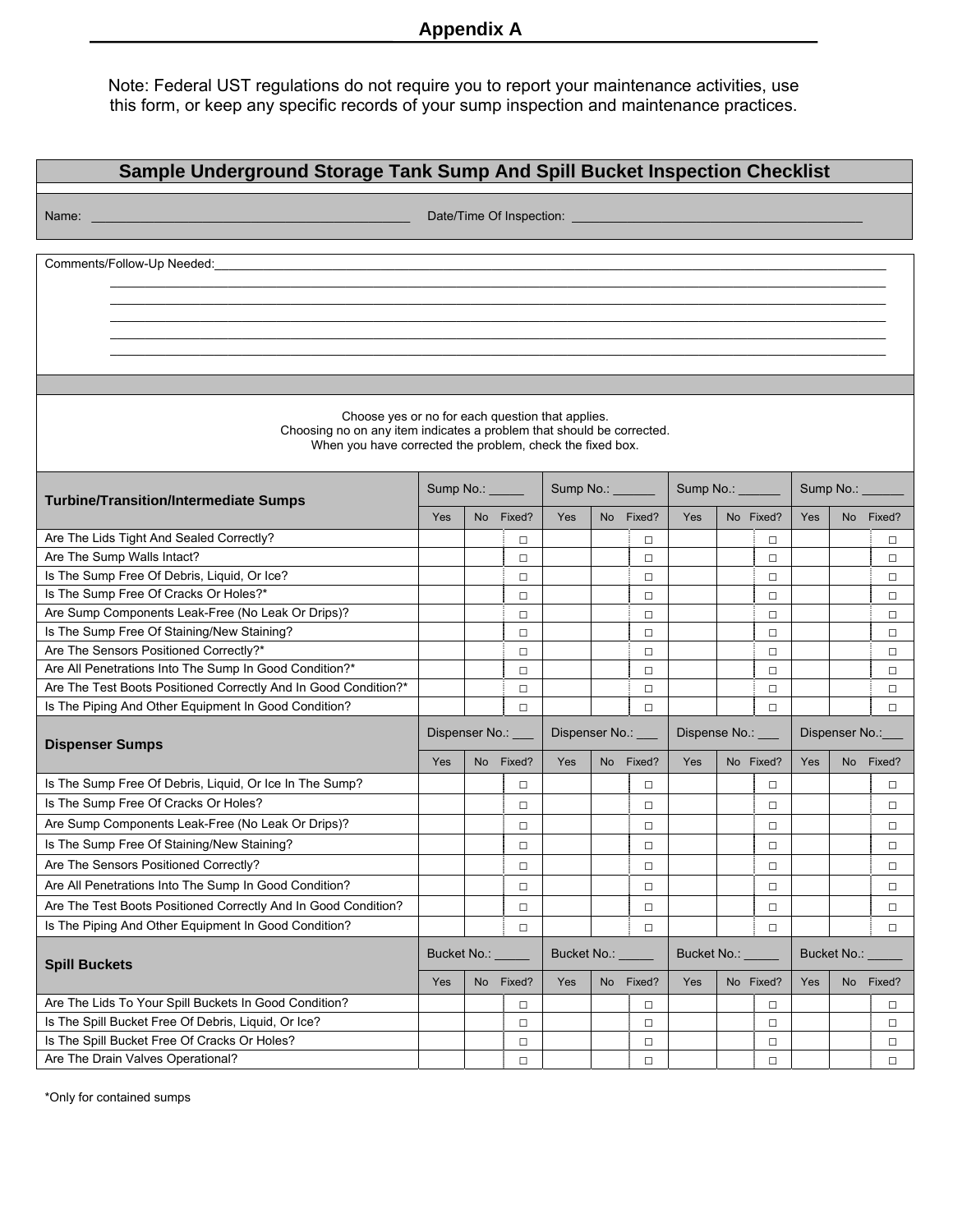Note: Federal UST regulations do not require you to report your maintenance activities, use this form, or keep any specific records of your sump inspection and maintenance practices.

| Sample Underground Storage Tank Sump And Spill Bucket Inspection Checklist                                                                                                                                                    |                                                           |                 |                   |               |                  |                  |             |                  |                |             |                |           |  |
|-------------------------------------------------------------------------------------------------------------------------------------------------------------------------------------------------------------------------------|-----------------------------------------------------------|-----------------|-------------------|---------------|------------------|------------------|-------------|------------------|----------------|-------------|----------------|-----------|--|
| Name: Name: Name: Name: Name: Name: Name: Name: Name: Name: Name: Name: Name: Name: Name: Name: Name: Name: Name: Name: Name: Name: Name: Name: Name: Name: Name: Name: Name: Name: Name: Name: Name: Name: Name: Name: Name: |                                                           |                 |                   |               |                  |                  |             |                  |                |             |                |           |  |
|                                                                                                                                                                                                                               |                                                           |                 |                   |               |                  |                  |             |                  |                |             |                |           |  |
| Comments/Follow-Up Needed:                                                                                                                                                                                                    |                                                           |                 |                   |               |                  |                  |             |                  |                |             |                |           |  |
|                                                                                                                                                                                                                               |                                                           |                 |                   |               |                  |                  |             |                  |                |             |                |           |  |
|                                                                                                                                                                                                                               |                                                           |                 |                   |               |                  |                  |             |                  |                |             |                |           |  |
|                                                                                                                                                                                                                               |                                                           |                 |                   |               |                  |                  |             |                  |                |             |                |           |  |
|                                                                                                                                                                                                                               |                                                           |                 |                   |               |                  |                  |             |                  |                |             |                |           |  |
|                                                                                                                                                                                                                               |                                                           |                 |                   |               |                  |                  |             |                  |                |             |                |           |  |
|                                                                                                                                                                                                                               |                                                           |                 |                   |               |                  |                  |             |                  |                |             |                |           |  |
| Choose yes or no for each question that applies.<br>Choosing no on any item indicates a problem that should be corrected.                                                                                                     |                                                           |                 |                   |               |                  |                  |             |                  |                |             |                |           |  |
|                                                                                                                                                                                                                               | When you have corrected the problem, check the fixed box. |                 |                   |               |                  |                  |             |                  |                |             |                |           |  |
| <b>Turbine/Transition/Intermediate Sumps</b>                                                                                                                                                                                  |                                                           | Sump No.: _____ |                   |               | Sump No.: ______ |                  |             | Sump No.: ______ |                |             | Sump No.: ____ |           |  |
|                                                                                                                                                                                                                               | Yes                                                       |                 | No Fixed?         | Yes           |                  | No Fixed?        | <b>Yes</b>  |                  | No Fixed?      | Yes         |                | No Fixed? |  |
| Are The Lids Tight And Sealed Correctly?                                                                                                                                                                                      |                                                           |                 | $\Box$            |               |                  | $\Box$           |             |                  | $\Box$         |             |                | □         |  |
| Are The Sump Walls Intact?                                                                                                                                                                                                    |                                                           |                 | $\Box$            |               |                  | $\Box$           |             |                  | $\Box$         |             |                | □         |  |
| Is The Sump Free Of Debris, Liquid, Or Ice?                                                                                                                                                                                   |                                                           |                 | $\Box$            |               |                  | $\Box$           |             |                  | $\Box$         |             |                | □         |  |
| Is The Sump Free Of Cracks Or Holes?*                                                                                                                                                                                         |                                                           |                 | $\Box$            |               |                  | $\Box$           |             |                  | $\Box$         |             |                | □         |  |
| Are Sump Components Leak-Free (No Leak Or Drips)?                                                                                                                                                                             |                                                           |                 | $\Box$            |               |                  | $\Box$           |             |                  | $\Box$         |             |                | □         |  |
| Is The Sump Free Of Staining/New Staining?                                                                                                                                                                                    |                                                           |                 | $\Box$            |               |                  | $\Box$           |             |                  | $\Box$         |             |                | □         |  |
| Are The Sensors Positioned Correctly?*                                                                                                                                                                                        |                                                           |                 | $\Box$            |               |                  | $\Box$           |             |                  | $\Box$         |             |                | □         |  |
| Are All Penetrations Into The Sump In Good Condition?*                                                                                                                                                                        |                                                           |                 | $\Box$            |               |                  | $\Box$           |             |                  | $\Box$         |             |                | □         |  |
| Are The Test Boots Positioned Correctly And In Good Condition?*                                                                                                                                                               |                                                           |                 | $\Box$            |               |                  | $\Box$           |             |                  | $\Box$         |             |                | $\Box$    |  |
| Is The Piping And Other Equipment In Good Condition?                                                                                                                                                                          |                                                           |                 | $\Box$            |               |                  | $\Box$           |             |                  | $\Box$         |             |                | $\Box$    |  |
| <b>Dispenser Sumps</b>                                                                                                                                                                                                        | Dispenser No.: __                                         |                 | Dispenser No.: __ |               |                  | Dispense No.: __ |             |                  | Dispenser No.: |             |                |           |  |
|                                                                                                                                                                                                                               |                                                           |                 | No Fixed?         | Yes           |                  | No Fixed?        | Yes         |                  | No Fixed?      | Yes         | No             | Fixed?    |  |
| Is The Sump Free Of Debris, Liquid, Or Ice In The Sump?                                                                                                                                                                       |                                                           |                 | $\Box$            |               |                  | $\Box$           |             |                  | $\Box$         |             |                | $\Box$    |  |
| Is The Sump Free Of Cracks Or Holes?                                                                                                                                                                                          |                                                           |                 | $\Box$            |               |                  | $\Box$           |             |                  | $\Box$         |             |                | $\Box$    |  |
| Are Sump Components Leak-Free (No Leak Or Drips)?                                                                                                                                                                             |                                                           |                 | $\Box$            |               |                  | $\Box$           |             |                  | $\Box$         |             |                | $\Box$    |  |
| Is The Sump Free Of Staining/New Staining?                                                                                                                                                                                    |                                                           |                 | $\Box$            |               |                  | $\Box$           |             |                  | $\Box$         |             |                | $\Box$    |  |
| Are The Sensors Positioned Correctly?                                                                                                                                                                                         |                                                           |                 | $\Box$            |               |                  | $\Box$           |             |                  | $\Box$         |             |                | $\Box$    |  |
| Are All Penetrations Into The Sump In Good Condition?                                                                                                                                                                         |                                                           |                 | $\Box$            |               |                  | $\Box$           |             |                  | $\Box$         |             |                | $\Box$    |  |
| Are The Test Boots Positioned Correctly And In Good Condition?                                                                                                                                                                |                                                           |                 | $\Box$            |               |                  | $\Box$           |             |                  | $\Box$         |             |                | $\Box$    |  |
| Is The Piping And Other Equipment In Good Condition?                                                                                                                                                                          |                                                           |                 | $\Box$            |               |                  | $\Box$           |             |                  | $\Box$         |             |                | $\Box$    |  |
| <b>Spill Buckets</b>                                                                                                                                                                                                          | Bucket No.: _                                             |                 |                   | Bucket No.: _ |                  |                  | Bucket No.: |                  |                | Bucket No.: |                |           |  |
|                                                                                                                                                                                                                               | Yes                                                       | No              | Fixed?            | Yes           |                  | No Fixed?        | Yes         |                  | No Fixed?      | Yes         |                | No Fixed? |  |
| Are The Lids To Your Spill Buckets In Good Condition?                                                                                                                                                                         |                                                           |                 | □                 |               |                  | $\Box$           |             |                  | $\Box$         |             |                | $\Box$    |  |
| Is The Spill Bucket Free Of Debris, Liquid, Or Ice?                                                                                                                                                                           |                                                           |                 | $\Box$            |               |                  | $\Box$           |             |                  | $\Box$         |             |                | $\Box$    |  |
| Is The Spill Bucket Free Of Cracks Or Holes?                                                                                                                                                                                  |                                                           |                 | $\Box$            |               |                  | $\Box$           |             |                  | $\Box$         |             |                | $\Box$    |  |
| Are The Drain Valves Operational?                                                                                                                                                                                             |                                                           |                 | $\Box$            |               |                  | $\Box$           |             |                  | $\Box$         |             |                | $\Box$    |  |

\*Only for contained sumps